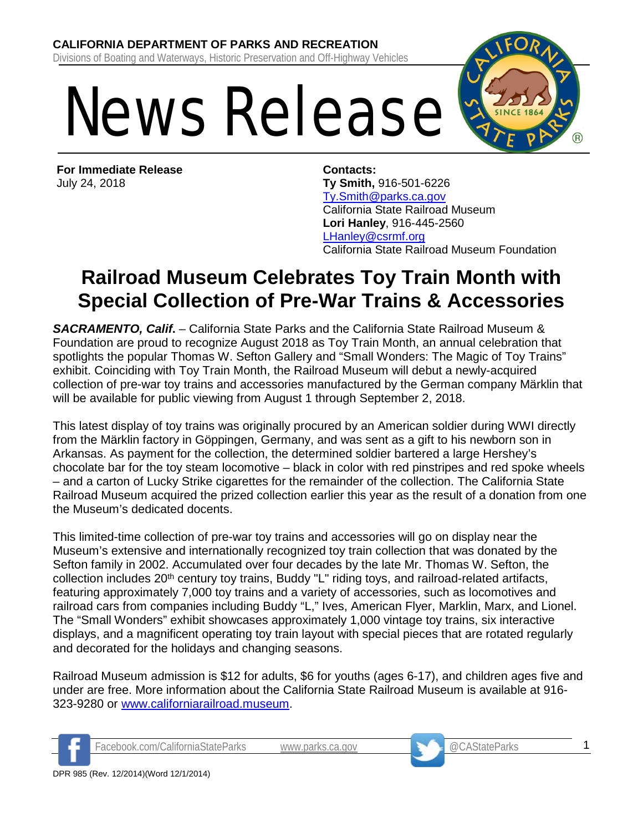## News Release



**For Immediate Release** July 24, 2018

**Contacts: Ty Smith,** 916-501-6226 [Ty.Smith@parks.ca.gov](mailto:Ty.Smith@parks.ca.gov) California State Railroad Museum **Lori Hanley**, 916-445-2560 [LHanley@csrmf.org](mailto:LHanley@csrmf.org) California State Railroad Museum Foundation

## **Railroad Museum Celebrates Toy Train Month with Special Collection of Pre-War Trains & Accessories**

*SACRAMENTO, Calif***.** – California State Parks and the California State Railroad Museum & Foundation are proud to recognize August 2018 as Toy Train Month, an annual celebration that spotlights the popular Thomas W. Sefton Gallery and "Small Wonders: The Magic of Toy Trains" exhibit. Coinciding with Toy Train Month, the Railroad Museum will debut a newly-acquired collection of pre-war toy trains and accessories manufactured by the German company Märklin that will be available for public viewing from August 1 through September 2, 2018.

This latest display of toy trains was originally procured by an American soldier during WWI directly from the Märklin factory in Göppingen, Germany, and was sent as a gift to his newborn son in Arkansas. As payment for the collection, the determined soldier bartered a large Hershey's chocolate bar for the toy steam locomotive – black in color with red pinstripes and red spoke wheels – and a carton of Lucky Strike cigarettes for the remainder of the collection. The California State Railroad Museum acquired the prized collection earlier this year as the result of a donation from one the Museum's dedicated docents.

This limited-time collection of pre-war toy trains and accessories will go on display near the Museum's extensive and internationally recognized toy train collection that was donated by the Sefton family in 2002. Accumulated over four decades by the late Mr. Thomas W. Sefton, the collection includes 20<sup>th</sup> century toy trains, Buddy "L" riding toys, and railroad-related artifacts, featuring approximately 7,000 toy trains and a variety of accessories, such as locomotives and railroad cars from companies including Buddy "L," Ives, American Flyer, Marklin, Marx, and Lionel. The "Small Wonders" exhibit showcases approximately 1,000 vintage toy trains, six interactive displays, and a magnificent operating toy train layout with special pieces that are rotated regularly and decorated for the holidays and changing seasons.

Railroad Museum admission is \$12 for adults, \$6 for youths (ages 6-17), and children ages five and under are free. More information about the California State Railroad Museum is available at 916- 323-9280 or [www.californiarailroad.museum.](http://www.californiarailroad.museum/)



Facebook.com/CaliforniaStateParks [www.parks.ca.gov](http://www.parks.ca.gov/) @CAStateParks